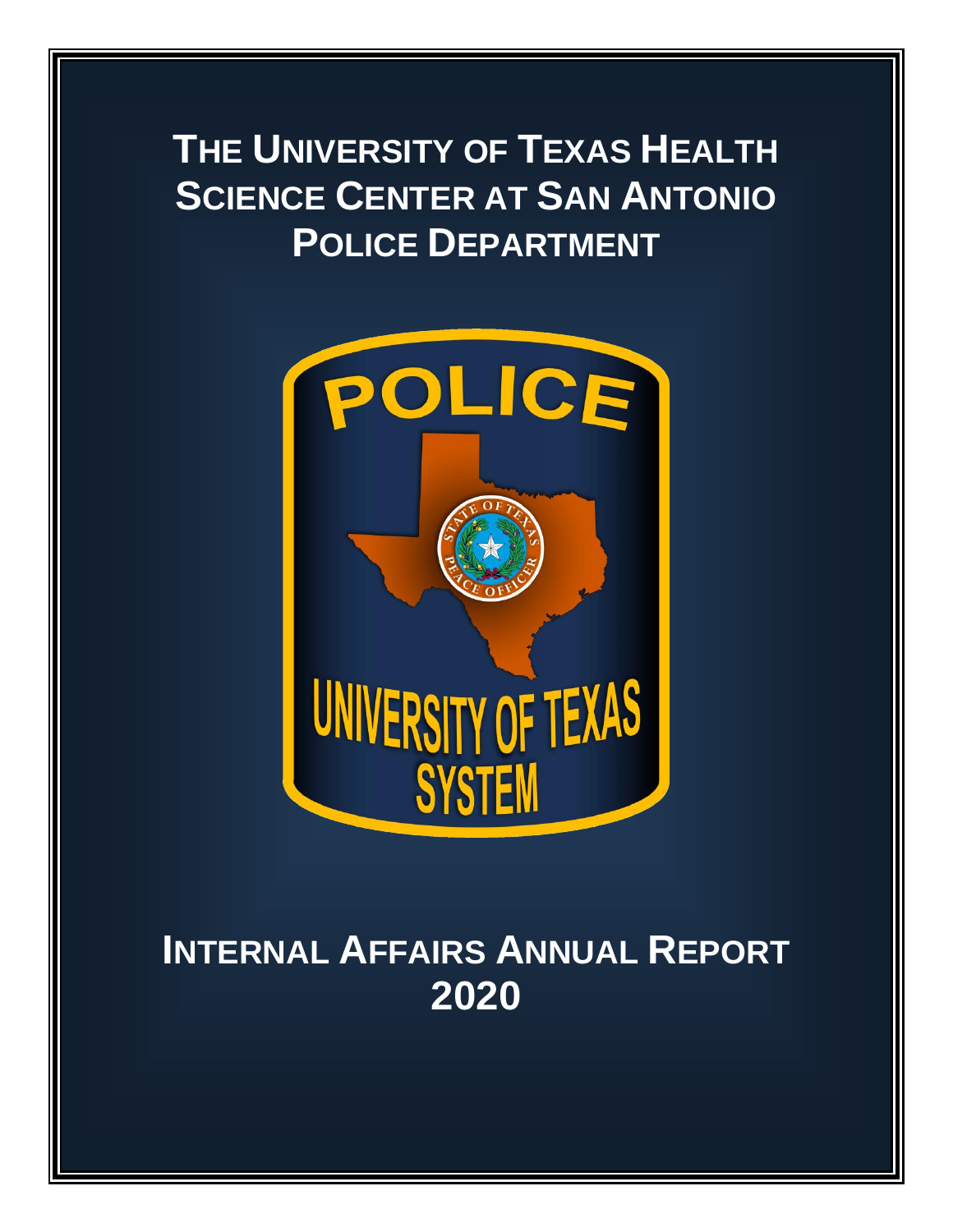# **THE UNIVERSITY OF TEXAS HEALTH SCIENCE CENTER AT SAN ANTONIO POLICE DEPARTMENT**



# **INTERNAL AFFAIRS ANNUAL REPORT 2020**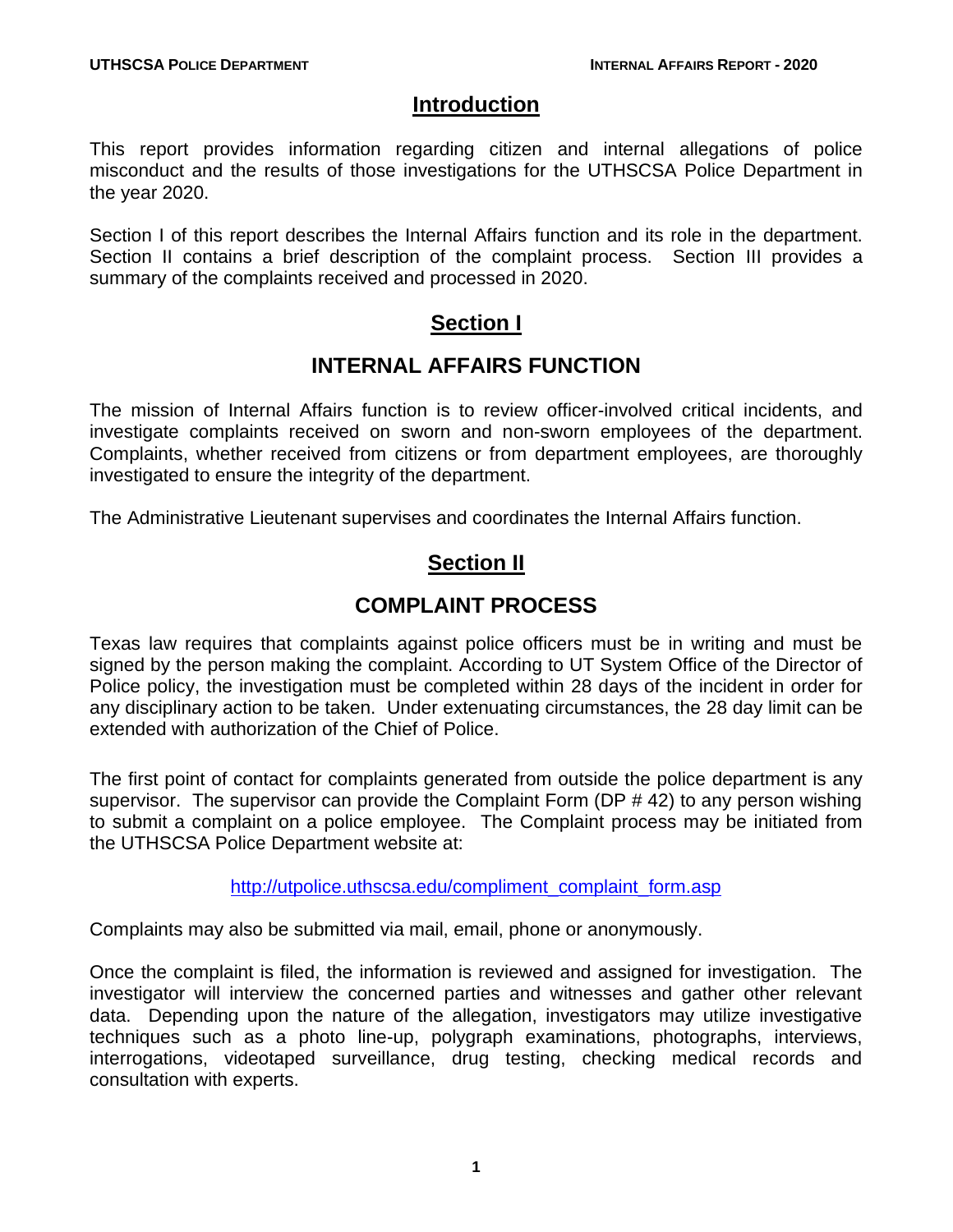### **Introduction**

This report provides information regarding citizen and internal allegations of police misconduct and the results of those investigations for the UTHSCSA Police Department in the year 2020.

Section I of this report describes the Internal Affairs function and its role in the department. Section II contains a brief description of the complaint process. Section III provides a summary of the complaints received and processed in 2020.

## **Section I**

## **INTERNAL AFFAIRS FUNCTION**

The mission of Internal Affairs function is to review officer-involved critical incidents, and investigate complaints received on sworn and non-sworn employees of the department. Complaints, whether received from citizens or from department employees, are thoroughly investigated to ensure the integrity of the department.

The Administrative Lieutenant supervises and coordinates the Internal Affairs function.

## **Section II**

## **COMPLAINT PROCESS**

Texas law requires that complaints against police officers must be in writing and must be signed by the person making the complaint. According to UT System Office of the Director of Police policy, the investigation must be completed within 28 days of the incident in order for any disciplinary action to be taken. Under extenuating circumstances, the 28 day limit can be extended with authorization of the Chief of Police.

The first point of contact for complaints generated from outside the police department is any supervisor. The supervisor can provide the Complaint Form (DP # 42) to any person wishing to submit a complaint on a police employee. The Complaint process may be initiated from the UTHSCSA Police Department website at:

[http://utpolice.uthscsa.edu/compliment\\_complaint\\_form.asp](http://utpolice.uthscsa.edu/compliment_complaint_form.asp)

Complaints may also be submitted via mail, email, phone or anonymously.

Once the complaint is filed, the information is reviewed and assigned for investigation. The investigator will interview the concerned parties and witnesses and gather other relevant data. Depending upon the nature of the allegation, investigators may utilize investigative techniques such as a photo line-up, polygraph examinations, photographs, interviews, interrogations, videotaped surveillance, drug testing, checking medical records and consultation with experts.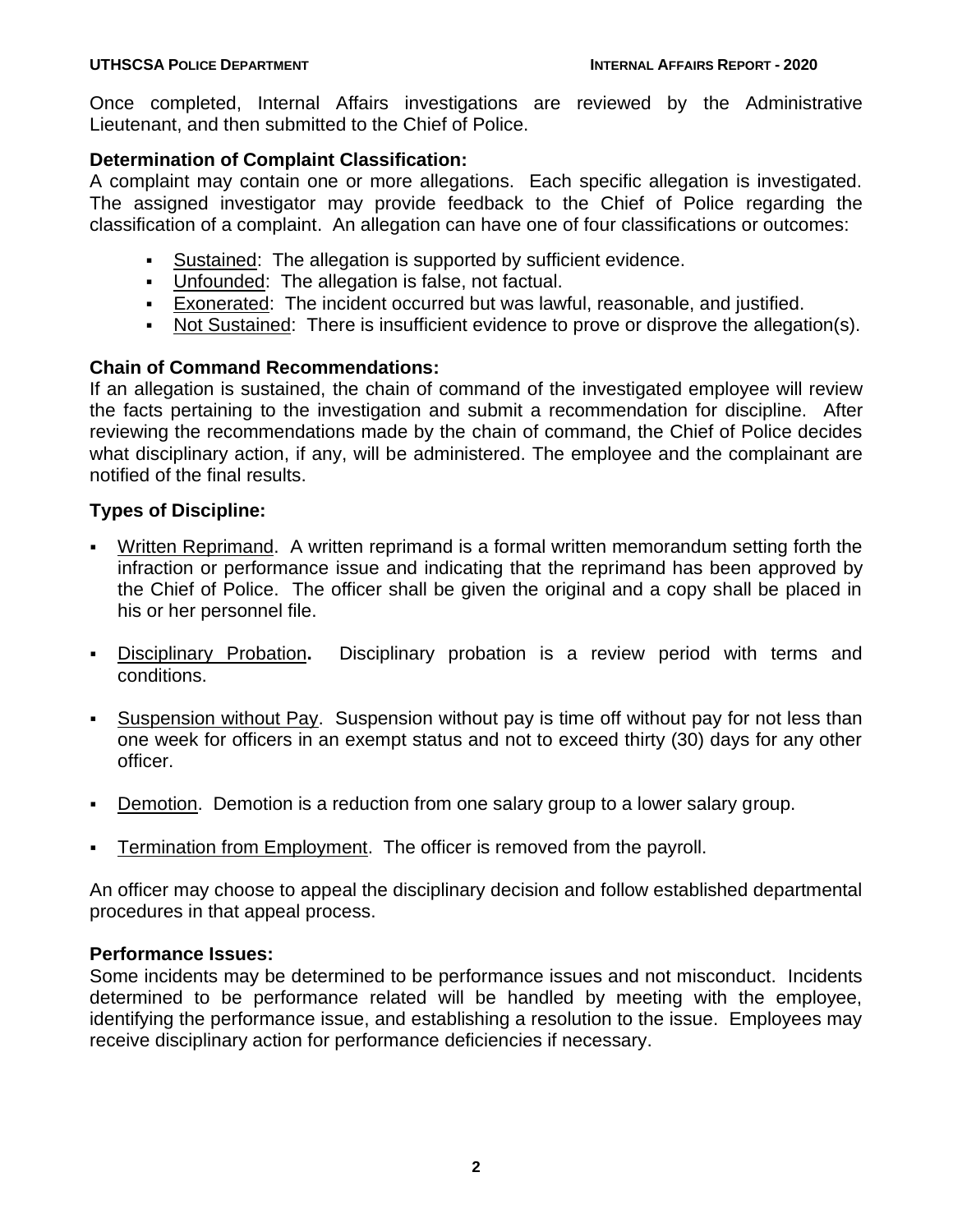Once completed, Internal Affairs investigations are reviewed by the Administrative Lieutenant, and then submitted to the Chief of Police.

### **Determination of Complaint Classification:**

A complaint may contain one or more allegations. Each specific allegation is investigated. The assigned investigator may provide feedback to the Chief of Police regarding the classification of a complaint. An allegation can have one of four classifications or outcomes:

- Sustained: The allegation is supported by sufficient evidence.
- Unfounded: The allegation is false, not factual.
- Exonerated: The incident occurred but was lawful, reasonable, and justified.
- Not Sustained: There is insufficient evidence to prove or disprove the allegation(s).

### **Chain of Command Recommendations:**

If an allegation is sustained, the chain of command of the investigated employee will review the facts pertaining to the investigation and submit a recommendation for discipline. After reviewing the recommendations made by the chain of command, the Chief of Police decides what disciplinary action, if any, will be administered. The employee and the complainant are notified of the final results.

#### **Types of Discipline:**

- Written Reprimand. A written reprimand is a formal written memorandum setting forth the infraction or performance issue and indicating that the reprimand has been approved by the Chief of Police. The officer shall be given the original and a copy shall be placed in his or her personnel file.
- Disciplinary Probation**.** Disciplinary probation is a review period with terms and conditions.
- Suspension without Pay. Suspension without pay is time off without pay for not less than one week for officers in an exempt status and not to exceed thirty (30) days for any other officer.
- **Demotion. Demotion is a reduction from one salary group to a lower salary group.**
- Termination from Employment. The officer is removed from the payroll.

An officer may choose to appeal the disciplinary decision and follow established departmental procedures in that appeal process.

#### **Performance Issues:**

Some incidents may be determined to be performance issues and not misconduct. Incidents determined to be performance related will be handled by meeting with the employee, identifying the performance issue, and establishing a resolution to the issue. Employees may receive disciplinary action for performance deficiencies if necessary.